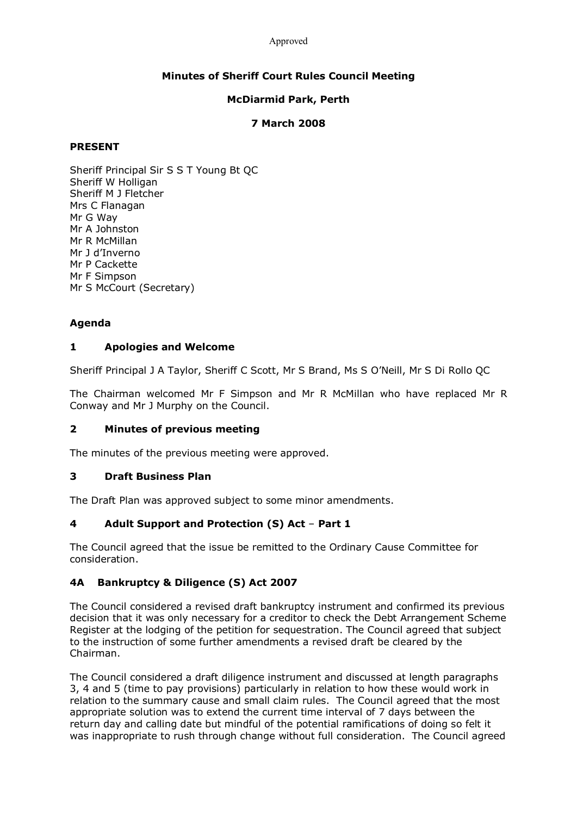#### Approved

## **Minutes of Sheriff Court Rules Council Meeting**

## **McDiarmid Park, Perth**

## **7 March 2008**

#### **PRESENT**

Sheriff Principal Sir S S T Young Bt QC Sheriff W Holligan Sheriff M J Fletcher Mrs C Flanagan Mr G Way Mr A Johnston Mr R McMillan Mr J d'Inverno Mr P Cackette Mr F Simpson Mr S McCourt (Secretary)

# **Agenda**

## **1 Apologies and Welcome**

Sheriff Principal J A Taylor, Sheriff C Scott, Mr S Brand, Ms S O'Neill, Mr S Di Rollo QC

The Chairman welcomed Mr F Simpson and Mr R McMillan who have replaced Mr R Conway and Mr J Murphy on the Council.

## **2 Minutes of previous meeting**

The minutes of the previous meeting were approved.

## **3 Draft Business Plan**

The Draft Plan was approved subject to some minor amendments.

## **4 Adult Support and Protection (S) Act** – **Part 1**

The Council agreed that the issue be remitted to the Ordinary Cause Committee for consideration.

## **4A Bankruptcy & Diligence (S) Act 2007**

The Council considered a revised draft bankruptcy instrument and confirmed its previous decision that it was only necessary for a creditor to check the Debt Arrangement Scheme Register at the lodging of the petition for sequestration. The Council agreed that subject to the instruction of some further amendments a revised draft be cleared by the Chairman.

The Council considered a draft diligence instrument and discussed at length paragraphs 3, 4 and 5 (time to pay provisions) particularly in relation to how these would work in relation to the summary cause and small claim rules. The Council agreed that the most appropriate solution was to extend the current time interval of 7 days between the return day and calling date but mindful of the potential ramifications of doing so felt it was inappropriate to rush through change without full consideration. The Council agreed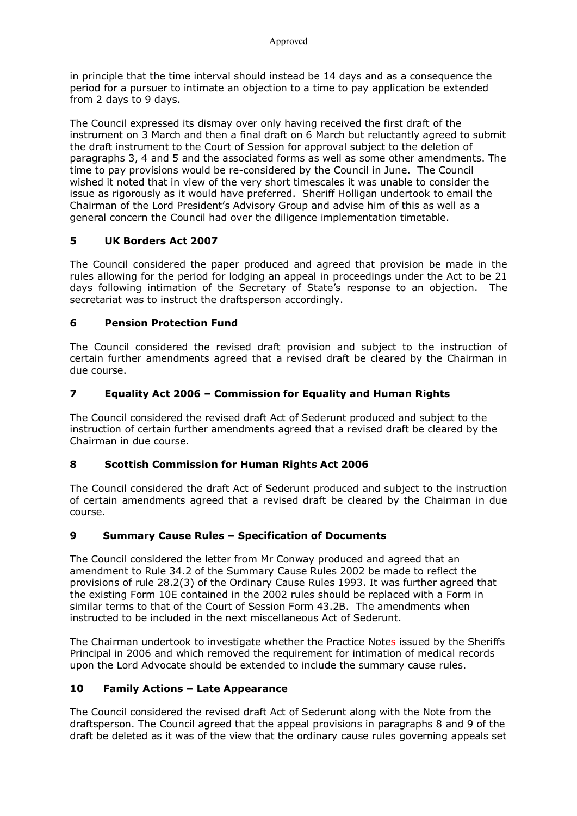in principle that the time interval should instead be 14 days and as a consequence the period for a pursuer to intimate an objection to a time to pay application be extended from 2 days to 9 days.

The Council expressed its dismay over only having received the first draft of the instrument on 3 March and then a final draft on 6 March but reluctantly agreed to submit the draft instrument to the Court of Session for approval subject to the deletion of paragraphs 3, 4 and 5 and the associated forms as well as some other amendments. The time to pay provisions would be reconsidered by the Council in June. The Council wished it noted that in view of the very short timescales it was unable to consider the issue as rigorously as it would have preferred. Sheriff Holligan undertook to email the Chairman of the Lord President's Advisory Group and advise him of this as well as a general concern the Council had over the diligence implementation timetable.

# **5 UK Borders Act 2007**

The Council considered the paper produced and agreed that provision be made in the rules allowing for the period for lodging an appeal in proceedings under the Act to be 21 days following intimation of the Secretary of State's response to an objection. The secretariat was to instruct the draftsperson accordingly.

# **6 Pension Protection Fund**

The Council considered the revised draft provision and subject to the instruction of certain further amendments agreed that a revised draft be cleared by the Chairman in due course.

# **7 Equality Act 2006 – Commission for Equality and Human Rights**

The Council considered the revised draft Act of Sederunt produced and subject to the instruction of certain further amendments agreed that a revised draft be cleared by the Chairman in due course.

## **8 Scottish Commission for Human Rights Act 2006**

The Council considered the draft Act of Sederunt produced and subject to the instruction of certain amendments agreed that a revised draft be cleared by the Chairman in due course.

## **9 Summary Cause Rules – Specification of Documents**

The Council considered the letter from Mr Conway produced and agreed that an amendment to Rule 34.2 of the Summary Cause Rules 2002 be made to reflect the provisions of rule 28.2(3) of the Ordinary Cause Rules 1993. It was further agreed that the existing Form 10E contained in the 2002 rules should be replaced with a Form in similar terms to that of the Court of Session Form 43.2B. The amendments when instructed to be included in the next miscellaneous Act of Sederunt.

The Chairman undertook to investigate whether the Practice Notes issued by the Sheriffs Principal in 2006 and which removed the requirement for intimation of medical records upon the Lord Advocate should be extended to include the summary cause rules.

## **10 Family Actions – Late Appearance**

The Council considered the revised draft Act of Sederunt along with the Note from the draftsperson. The Council agreed that the appeal provisions in paragraphs 8 and 9 of the draft be deleted as it was of the view that the ordinary cause rules governing appeals set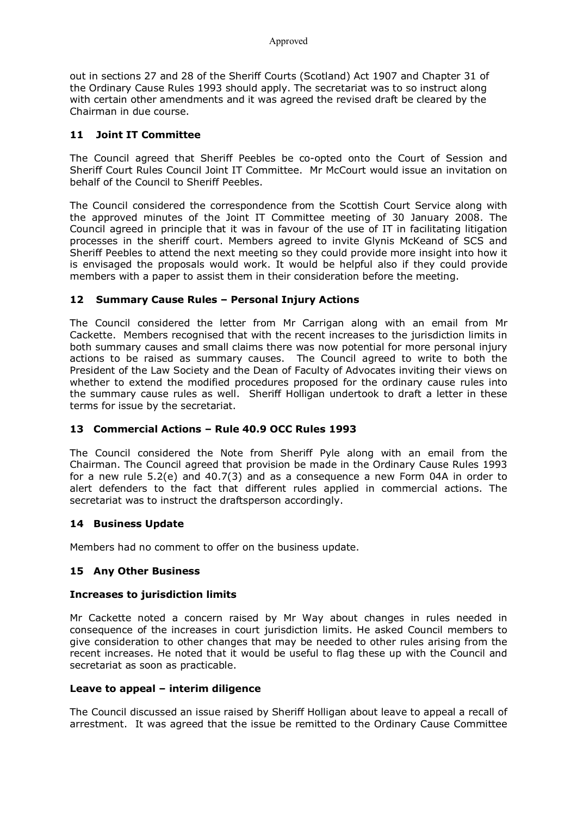out in sections 27 and 28 of the Sheriff Courts (Scotland) Act 1907 and Chapter 31 of the Ordinary Cause Rules 1993 should apply. The secretariat was to so instruct along with certain other amendments and it was agreed the revised draft be cleared by the Chairman in due course.

#### **11 Joint IT Committee**

The Council agreed that Sheriff Peebles be co-opted onto the Court of Session and Sheriff Court Rules Council Joint IT Committee. Mr McCourt would issue an invitation on behalf of the Council to Sheriff Peebles.

The Council considered the correspondence from the Scottish Court Service along with the approved minutes of the Joint IT Committee meeting of 30 January 2008. The Council agreed in principle that it was in favour of the use of IT in facilitating litigation processes in the sheriff court. Members agreed to invite Glynis McKeand of SCS and Sheriff Peebles to attend the next meeting so they could provide more insight into how it is envisaged the proposals would work. It would be helpful also if they could provide members with a paper to assist them in their consideration before the meeting.

#### **12 Summary Cause Rules – Personal Injury Actions**

The Council considered the letter from Mr Carrigan along with an email from Mr Cackette. Members recognised that with the recent increases to the jurisdiction limits in both summary causes and small claims there was now potential for more personal injury actions to be raised as summary causes. The Council agreed to write to both the President of the Law Society and the Dean of Faculty of Advocates inviting their views on whether to extend the modified procedures proposed for the ordinary cause rules into the summary cause rules as well. Sheriff Holligan undertook to draft a letter in these terms for issue by the secretariat.

## **13 Commercial Actions – Rule 40.9 OCC Rules 1993**

The Council considered the Note from Sheriff Pyle along with an email from the Chairman. The Council agreed that provision be made in the Ordinary Cause Rules 1993 for a new rule 5.2(e) and 40.7(3) and as a consequence a new Form 04A in order to alert defenders to the fact that different rules applied in commercial actions. The secretariat was to instruct the draftsperson accordingly.

#### **14 Business Update**

Members had no comment to offer on the business update.

## **15 Any Other Business**

#### **Increases to jurisdiction limits**

Mr Cackette noted a concern raised by Mr Way about changes in rules needed in consequence of the increases in court jurisdiction limits. He asked Council members to give consideration to other changes that may be needed to other rules arising from the recent increases. He noted that it would be useful to flag these up with the Council and secretariat as soon as practicable.

#### **Leave to appeal – interim diligence**

The Council discussed an issue raised by Sheriff Holligan about leave to appeal a recall of arrestment. It was agreed that the issue be remitted to the Ordinary Cause Committee